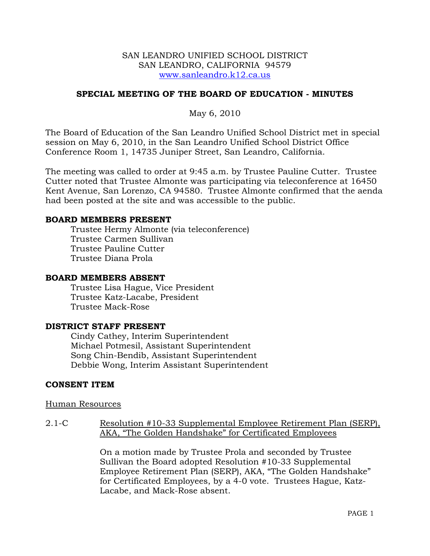## SAN LEANDRO UNIFIED SCHOOL DISTRICT SAN LEANDRO, CALIFORNIA 94579 www.sanleandro.k12.ca.us

# **SPECIAL MEETING OF THE BOARD OF EDUCATION - MINUTES**

May 6, 2010

The Board of Education of the San Leandro Unified School District met in special session on May 6, 2010, in the San Leandro Unified School District Office Conference Room 1, 14735 Juniper Street, San Leandro, California.

The meeting was called to order at 9:45 a.m. by Trustee Pauline Cutter. Trustee Cutter noted that Trustee Almonte was participating via teleconference at 16450 Kent Avenue, San Lorenzo, CA 94580. Trustee Almonte confirmed that the aenda had been posted at the site and was accessible to the public.

### **BOARD MEMBERS PRESENT**

Trustee Hermy Almonte (via teleconference) Trustee Carmen Sullivan Trustee Pauline Cutter Trustee Diana Prola

#### **BOARD MEMBERS ABSENT**

Trustee Lisa Hague, Vice President Trustee Katz-Lacabe, President Trustee Mack-Rose

## **DISTRICT STAFF PRESENT**

Cindy Cathey, Interim Superintendent Michael Potmesil, Assistant Superintendent Song Chin-Bendib, Assistant Superintendent Debbie Wong, Interim Assistant Superintendent

## **CONSENT ITEM**

#### Human Resources

2.1-C Resolution #10-33 Supplemental Employee Retirement Plan (SERP), AKA, "The Golden Handshake" for Certificated Employees

> On a motion made by Trustee Prola and seconded by Trustee Sullivan the Board adopted Resolution #10-33 Supplemental Employee Retirement Plan (SERP), AKA, "The Golden Handshake" for Certificated Employees, by a 4-0 vote. Trustees Hague, Katz-Lacabe, and Mack-Rose absent.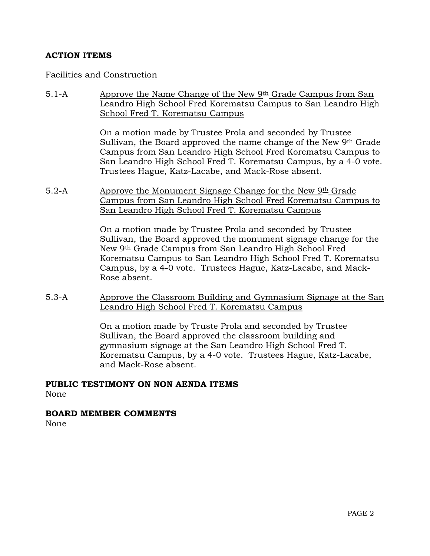# **ACTION ITEMS**

## Facilities and Construction

5.1-A Approve the Name Change of the New  $9th$  Grade Campus from San Leandro High School Fred Korematsu Campus to San Leandro High School Fred T. Korematsu Campus

> On a motion made by Trustee Prola and seconded by Trustee Sullivan, the Board approved the name change of the New 9th Grade Campus from San Leandro High School Fred Korematsu Campus to San Leandro High School Fred T. Korematsu Campus, by a 4-0 vote. Trustees Hague, Katz-Lacabe, and Mack-Rose absent.

5.2-A Approve the Monument Signage Change for the New  $9th$  Grade Campus from San Leandro High School Fred Korematsu Campus to San Leandro High School Fred T. Korematsu Campus

> On a motion made by Trustee Prola and seconded by Trustee Sullivan, the Board approved the monument signage change for the New 9th Grade Campus from San Leandro High School Fred Korematsu Campus to San Leandro High School Fred T. Korematsu Campus, by a 4-0 vote. Trustees Hague, Katz-Lacabe, and Mack-Rose absent.

5.3-A Approve the Classroom Building and Gymnasium Signage at the San Leandro High School Fred T. Korematsu Campus

> On a motion made by Truste Prola and seconded by Trustee Sullivan, the Board approved the classroom building and gymnasium signage at the San Leandro High School Fred T. Korematsu Campus, by a 4-0 vote. Trustees Hague, Katz-Lacabe, and Mack-Rose absent.

# **PUBLIC TESTIMONY ON NON AENDA ITEMS**

None

## **BOARD MEMBER COMMENTS**

None